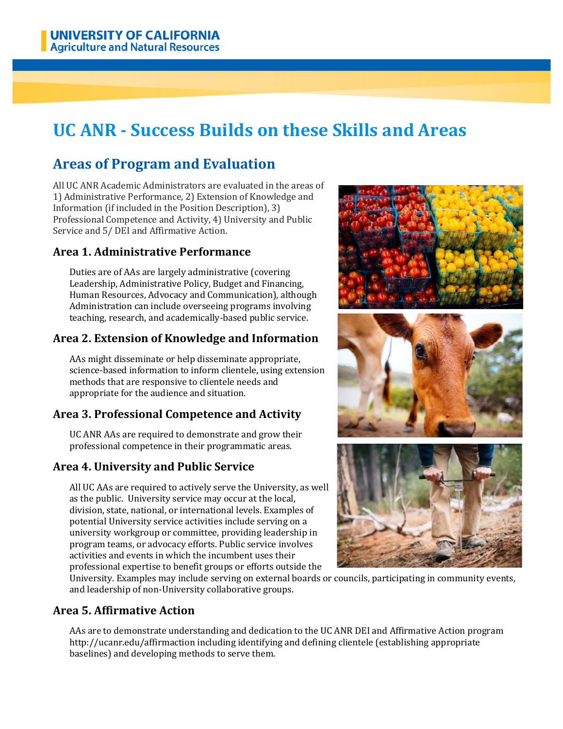# **UC ANR - Success Builds on these Skills and Areas**

# **Areas of Program and Evaluation**

All UC ANR Academic Administrators are evaluated in the areas of 1) Administrative Performance, 2) Extension of Knowledge and Information (if included in the Position Description), 3) Professional Competence and Activity, 4) University and Public Service and 5/ DEI and Affirmative Action.

### **Area 1. Administrative Performance**

Duties are of AAs are largely administrative (covering Leadership, Administrative Policy, Budget and Financing, Human Resources, Advocacy and Communication), although Administration can include overseeing programs involving teaching, research, and academically-based public service.

# **Area 2. Extension of Knowledge and Information**

AAs might disseminate or help disseminate appropriate, science-based information to inform clientele, using extension methods that are responsive to clientele needs and appropriate for the audience and situation.

# **Area 3. Professional Competence and Activity**

UC ANR AAs are required to demonstrate and grow their professional competence in their programmatic areas.

# **Area 4. University and Public Service**

All UC AAs are required to actively serve the University, as well as the public. University service may occur at the local, division, state, national, or international levels. Examples of potential University service activities include serving on a university workgroup or committee, providing leadership in program teams, or advocacy efforts. Public service involves activities and events in which the incumbent uses their professional expertise to benefit groups or efforts outside the







University. Examples may include serving on external boards or councils, participating in community events, and leadership of non-University collaborative groups.

#### **Area 5. Affirmative Action**

AAs are to demonstrate understanding and dedication to the UC ANR DEI and Affirmative Action program http://ucanr.edu/affirmaction including identifying and defining clientele (establishing appropriate baselines) and developing methods to serve them.